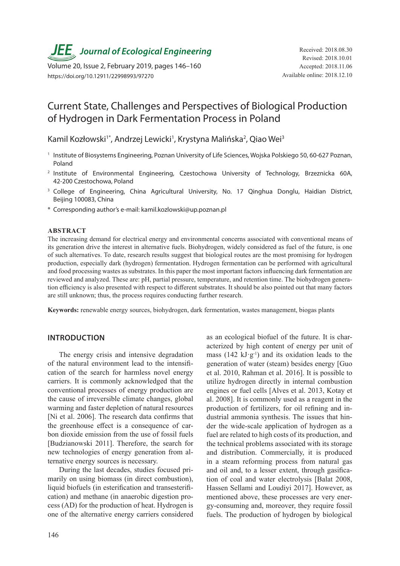*JEE<sub></sub>*, Journal of Ecological Engineering Received: 2018.08.30

Volume 20, Issue 2, February 2019, pages 146–160 https://doi.org/10.12911/22998993/97270

# Current State, Challenges and Perspectives of Biological Production of Hydrogen in Dark Fermentation Process in Poland

Kamil Kozłowski<sup>1\*</sup>, Andrzej Lewicki<sup>1</sup>, Krystyna Malińska<sup>2</sup>, Qiao Wei<sup>3</sup>

- <sup>1</sup> Institute of Biosystems Engineering, Poznan University of Life Sciences, Wojska Polskiego 50, 60-627 Poznan, Poland
- <sup>2</sup> Institute of Environmental Engineering, Czestochowa University of Technology, Brzeznicka 60A, 42-200 Czestochowa, Poland
- <sup>3</sup> College of Engineering, China Agricultural University, No. 17 Qinghua Donglu, Haidian District, Beijing 100083, China
- \* Corresponding author's e-mail: kamil.kozlowski@up.poznan.pl

#### **ABSTRACT**

The increasing demand for electrical energy and environmental concerns associated with conventional means of its generation drive the interest in alternative fuels. Biohydrogen, widely considered as fuel of the future, is one of such alternatives. To date, research results suggest that biological routes are the most promising for hydrogen production, especially dark (hydrogen) fermentation. Hydrogen fermentation can be performed with agricultural and food processing wastes as substrates. In this paper the most important factors influencing dark fermentation are reviewed and analyzed. These are: pH, partial pressure, temperature, and retention time. The biohydrogen generation efficiency is also presented with respect to different substrates. It should be also pointed out that many factors are still unknown; thus, the process requires conducting further research.

**Keywords:** renewable energy sources, biohydrogen, dark fermentation, wastes management, biogas plants

### **INTRODUCTION**

The energy crisis and intensive degradation of the natural environment lead to the intensification of the search for harmless novel energy carriers. It is commonly acknowledged that the conventional processes of energy production are the cause of irreversible climate changes, global warming and faster depletion of natural resources [Ni et al. 2006]. The research data confirms that the greenhouse effect is a consequence of carbon dioxide emission from the use of fossil fuels [Budzianowski 2011]. Therefore, the search for new technologies of energy generation from alternative energy sources is necessary.

During the last decades, studies focused primarily on using biomass (in direct combustion), liquid biofuels (in esterification and transesterification) and methane (in anaerobic digestion process (AD) for the production of heat. Hydrogen is one of the alternative energy carriers considered as an ecological biofuel of the future. It is characterized by high content of energy per unit of mass  $(142 \text{ kJ·g<sup>-1</sup>)$  and its oxidation leads to the generation of water (steam) besides energy [Guo et al. 2010, Rahman et al. 2016]. It is possible to utilize hydrogen directly in internal combustion engines or fuel cells [Alves et al. 2013, Kotay et al. 2008]. It is commonly used as a reagent in the production of fertilizers, for oil refining and industrial ammonia synthesis. The issues that hinder the wide-scale application of hydrogen as a fuel are related to high costs of its production, and the technical problems associated with its storage and distribution. Commercially, it is produced in a steam reforming process from natural gas and oil and, to a lesser extent, through gasification of coal and water electrolysis [Balat 2008, Hassen Sellami and Loudiyi 2017]. However, as mentioned above, these processes are very energy-consuming and, moreover, they require fossil fuels. The production of hydrogen by biological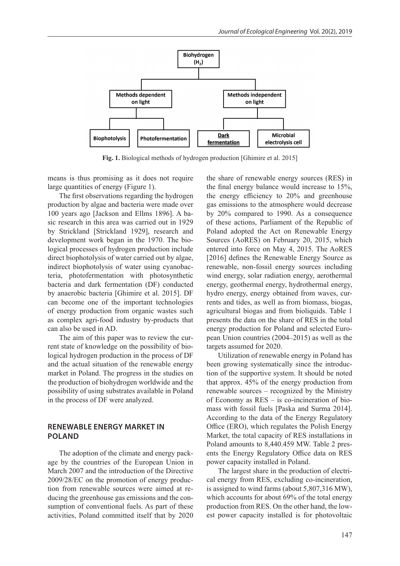

**Fig. 1.** Biological methods of hydrogen production [Ghimire et al. 2015]

means is thus promising as it does not require large quantities of energy (Figure 1).

The first observations regarding the hydrogen production by algae and bacteria were made over 100 years ago [Jackson and Ellms 1896]. A basic research in this area was carried out in 1929 by Strickland [Strickland 1929], research and development work began in the 1970. The biological processes of hydrogen production include direct biophotolysis of water carried out by algae, indirect biophotolysis of water using cyanobacteria, photofermentation with photosynthetic bacteria and dark fermentation (DF) conducted by anaerobic bacteria [Ghimire et al. 2015]. DF can become one of the important technologies of energy production from organic wastes such as complex agri-food industry by-products that can also be used in AD.

The aim of this paper was to review the current state of knowledge on the possibility of biological hydrogen production in the process of DF and the actual situation of the renewable energy market in Poland. The progress in the studies on the production of biohydrogen worldwide and the possibility of using substrates available in Poland in the process of DF were analyzed.

# **RENEWABLE ENERGY MARKET IN POLAND**

The adoption of the climate and energy package by the countries of the European Union in March 2007 and the introduction of the Directive 2009/28/EC on the promotion of energy production from renewable sources were aimed at reducing the greenhouse gas emissions and the consumption of conventional fuels. As part of these activities, Poland committed itself that by 2020 the share of renewable energy sources (RES) in the final energy balance would increase to 15%, the energy efficiency to 20% and greenhouse gas emissions to the atmosphere would decrease by 20% compared to 1990. As a consequence of these actions, Parliament of the Republic of Poland adopted the Act on Renewable Energy Sources (AoRES) on February 20, 2015, which entered into force on May 4, 2015. The AoRES [2016] defines the Renewable Energy Source as renewable, non-fossil energy sources including wind energy, solar radiation energy, aerothermal energy, geothermal energy, hydrothermal energy, hydro energy, energy obtained from waves, currents and tides, as well as from biomass, biogas, agricultural biogas and from bioliquids. Table 1 presents the data on the share of RES in the total energy production for Poland and selected European Union countries (2004–2015) as well as the targets assumed for 2020.

Utilization of renewable energy in Poland has been growing systematically since the introduction of the supportive system. It should be noted that approx. 45% of the energy production from renewable sources – recognized by the Ministry of Economy as RES – is co-incineration of biomass with fossil fuels [Paska and Surma 2014]. According to the data of the Energy Regulatory Office (ERO), which regulates the Polish Energy Market, the total capacity of RES installations in Poland amounts to 8,440.459 MW. Table 2 presents the Energy Regulatory Office data on RES power capacity installed in Poland.

The largest share in the production of electrical energy from RES, excluding co-incineration, is assigned to wind farms (about 5,807,316 MW), which accounts for about 69% of the total energy production from RES. On the other hand, the lowest power capacity installed is for photovoltaic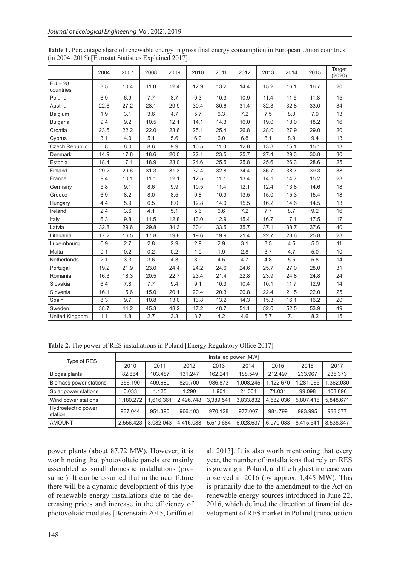|                        | 2004 | 2007 | 2008 | 2009 | 2010 | 2011 | 2012 | 2013 | 2014 | 2015 | Target<br>(2020) |
|------------------------|------|------|------|------|------|------|------|------|------|------|------------------|
| $EU - 28$<br>countries | 8.5  | 10.4 | 11.0 | 12.4 | 12.9 | 13.2 | 14.4 | 15.2 | 16.1 | 16.7 | 20               |
| Poland                 | 6.9  | 6.9  | 7.7  | 8.7  | 9.3  | 10.3 | 10.9 | 11.4 | 11.5 | 11.8 | 15               |
| Austria                | 22.6 | 27.2 | 28.1 | 29.9 | 30.4 | 30.6 | 31.4 | 32.3 | 32.8 | 33.0 | 34               |
| Belgium                | 1.9  | 3.1  | 3.6  | 4.7  | 5.7  | 6.3  | 7.2  | 7.5  | 8.0  | 7.9  | 13               |
| <b>Bulgaria</b>        | 9.4  | 9.2  | 10.5 | 12.1 | 14.1 | 14.3 | 16.0 | 19.0 | 18.0 | 18.2 | 16               |
| Croatia                | 23.5 | 22.2 | 22.0 | 23.6 | 25.1 | 25.4 | 26.8 | 28.0 | 27.9 | 29.0 | 20               |
| Cyprus                 | 3.1  | 4.0  | 5.1  | 5.6  | 6.0  | 6.0  | 6.8  | 8.1  | 8.9  | 9.4  | 13               |
| Czech Republic         | 6.8  | 8.0  | 8.6  | 9.9  | 10.5 | 11.0 | 12.8 | 13.8 | 15.1 | 15.1 | 13               |
| <b>Denmark</b>         | 14.9 | 17.8 | 18.6 | 20.0 | 22.1 | 23.5 | 25.7 | 27.4 | 29.3 | 30.8 | 30               |
| Estonia                | 18.4 | 17.1 | 18.9 | 23.0 | 24.6 | 25.5 | 25.8 | 25.6 | 26.3 | 28.6 | 25               |
| Finland                | 29.2 | 29.6 | 31.3 | 31.3 | 32.4 | 32.8 | 34.4 | 36.7 | 38.7 | 39.3 | 38               |
| France                 | 9.4  | 10.1 | 11.1 | 12.1 | 12.5 | 11.1 | 13.4 | 14.1 | 14.7 | 15.2 | 23               |
| Germany                | 5.8  | 9.1  | 8.6  | 9.9  | 10.5 | 11.4 | 12.1 | 12.4 | 13.8 | 14.6 | 18               |
| Greece                 | 6.9  | 8.2  | 8.0  | 8.5  | 9.8  | 10.9 | 13.5 | 15.0 | 15.3 | 15.4 | 18               |
| Hungary                | 4.4  | 5.9  | 6.5  | 8.0  | 12.8 | 14.0 | 15.5 | 16.2 | 14.6 | 14.5 | 13               |
| Ireland                | 2.4  | 3.6  | 4.1  | 5.1  | 5.6  | 6.6  | 7.2  | 7.7  | 8.7  | 9.2  | 16               |
| Italy                  | 6.3  | 9.8  | 11.5 | 12.8 | 13.0 | 12.9 | 15.4 | 16.7 | 17.1 | 17.5 | 17               |
| Latvia                 | 32.8 | 29.6 | 29.8 | 34.3 | 30.4 | 33.5 | 35.7 | 37.1 | 38.7 | 37.6 | 40               |
| Lithuania              | 17.2 | 16.5 | 17.8 | 19.8 | 19.6 | 19.9 | 21.4 | 22.7 | 23.6 | 25.8 | 23               |
| Luxembourg             | 0.9  | 2.7  | 2.8  | 2.9  | 2.9  | 2.9  | 3.1  | 3.5  | 4.5  | 5.0  | 11               |
| Malta                  | 0.1  | 0.2  | 0.2  | 0.2  | 1.0  | 1.9  | 2.8  | 3.7  | 4.7  | 5.0  | 10               |
| Netherlands            | 2.1  | 3.3  | 3.6  | 4.3  | 3.9  | 4.5  | 4.7  | 4.8  | 5.5  | 5.8  | 14               |
| Portugal               | 19.2 | 21.9 | 23.0 | 24.4 | 24.2 | 24.6 | 24.6 | 25.7 | 27.0 | 28.0 | 31               |
| Romania                | 16.3 | 18.3 | 20.5 | 22.7 | 23.4 | 21.4 | 22.8 | 23.9 | 24.8 | 24.8 | 24               |
| Slovakia               | 6.4  | 7.8  | 7.7  | 9.4  | 9.1  | 10.3 | 10.4 | 10.1 | 11.7 | 12.9 | 14               |
| Slovenia               | 16.1 | 15.6 | 15.0 | 20.1 | 20.4 | 20.3 | 20.8 | 22.4 | 21.5 | 22.0 | 25               |
| Spain                  | 8.3  | 9.7  | 10.8 | 13.0 | 13.8 | 13.2 | 14.3 | 15.3 | 16.1 | 16.2 | 20               |
| Sweden                 | 38.7 | 44.2 | 45.3 | 48.2 | 47.2 | 48.7 | 51.1 | 52.0 | 52.5 | 53.9 | 49               |
| United Kingdom         | 1.1  | 1.8  | 2.7  | 3.3  | 3.7  | 4.2  | 4.6  | 5.7  | 7.1  | 8.2  | 15               |

**Table 1.** Percentage share of renewable energy in gross final energy consumption in European Union countries (in 2004–2015) [Eurostat Statistics Explained 2017]

**Table 2.** The power of RES installations in Poland [Energy Regulatory Office 2017]

| Type of RES                    | Installed power [MW] |           |           |           |           |           |           |           |
|--------------------------------|----------------------|-----------|-----------|-----------|-----------|-----------|-----------|-----------|
|                                | 2010                 | 2011      | 2012      | 2013      | 2014      | 2015      | 2016      | 2017      |
| Biogas plants                  | 82.884               | 103.487   | 131.247   | 162.241   | 188.549   | 212.497   | 233.967   | 235.373   |
| Biomass power stations         | 356.190              | 409.680   | 820.700   | 986.873   | 1,008.245 | 1,122.670 | 1,281.065 | 1,362.030 |
| Solar power stations           | 0.033                | 1.125     | 1.290     | 1.901     | 21.004    | 71.031    | 99.098    | 103.896   |
| Wind power stations            | 1,180.272            | 1.616.361 | 2.496.748 | 3.389.541 | 3.833.832 | 4.582.036 | 5.807.416 | 5,848.671 |
| Hydroelectric power<br>station | 937.044              | 951.390   | 966.103   | 970.128   | 977.007   | 981.799   | 993.995   | 988.377   |
| <b>AMOUNT</b>                  | 2.556.423            | 3.082.043 | 4.416.088 | 5.510.684 | 6.028.637 | 6.970.033 | 8.415.541 | 8.538.347 |

power plants (about 87.72 MW). However, it is worth noting that photovoltaic panels are mainly assembled as small domestic installations (prosumer). It can be assumed that in the near future there will be a dynamic development of this type of renewable energy installations due to the decreasing prices and increase in the efficiency of photovoltaic modules [Borenstain 2015, Griffin et al. 2013]. It is also worth mentioning that every year, the number of installations that rely on RES is growing in Poland, and the highest increase was observed in 2016 (by approx. 1,445 MW). This is primarily due to the amendment to the Act on renewable energy sources introduced in June 22, 2016, which defined the direction of financial development of RES market in Poland (introduction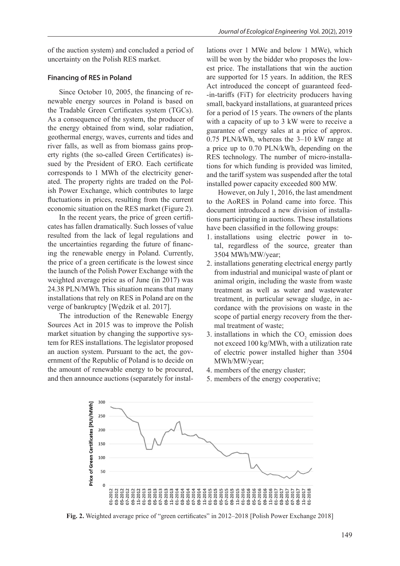of the auction system) and concluded a period of uncertainty on the Polish RES market.

#### **Financing of RES in Poland**

Since October 10, 2005, the financing of renewable energy sources in Poland is based on the Tradable Green Certificates system (TGCs). As a consequence of the system, the producer of the energy obtained from wind, solar radiation, geothermal energy, waves, currents and tides and river falls, as well as from biomass gains property rights (the so-called Green Certificates) issued by the President of ERO. Each certificate corresponds to 1 MWh of the electricity generated. The property rights are traded on the Polish Power Exchange, which contributes to large fluctuations in prices, resulting from the current economic situation on the RES market (Figure 2).

In the recent years, the price of green certificates has fallen dramatically. Such losses of value resulted from the lack of legal regulations and the uncertainties regarding the future of financing the renewable energy in Poland. Currently, the price of a green certificate is the lowest since the launch of the Polish Power Exchange with the weighted average price as of June (in 2017) was 24.38 PLN/MWh. This situation means that many installations that rely on RES in Poland are on the verge of bankruptcy [Wędzik et al. 2017].

The introduction of the Renewable Energy Sources Act in 2015 was to improve the Polish market situation by changing the supportive system for RES installations. The legislator proposed an auction system. Pursuant to the act, the government of the Republic of Poland is to decide on the amount of renewable energy to be procured, and then announce auctions (separately for installations over 1 MWe and below 1 MWe), which will be won by the bidder who proposes the lowest price. The installations that win the auction are supported for 15 years. In addition, the RES Act introduced the concept of guaranteed feed- -in-tariffs (FiT) for electricity producers having small, backyard installations, at guaranteed prices for a period of 15 years. The owners of the plants with a capacity of up to 3 kW were to receive a guarantee of energy sales at a price of approx. 0.75 PLN/kWh, whereas the 3–10 kW range at a price up to 0.70 PLN/kWh, depending on the RES technology. The number of micro-installations for which funding is provided was limited, and the tariff system was suspended after the total installed power capacity exceeded 800 MW.

However, on July 1, 2016, the last amendment to the AoRES in Poland came into force. This document introduced a new division of installations participating in auctions. These installations have been classified in the following groups:

- 1. installations using electric power in total, regardless of the source, greater than 3504 MWh/MW/year;
- 2. installations generating electrical energy partly from industrial and municipal waste of plant or animal origin, including the waste from waste treatment as well as water and wastewater treatment, in particular sewage sludge, in accordance with the provisions on waste in the scope of partial energy recovery from the thermal treatment of waste;
- 3. installations in which the  $CO_2$  emission does not exceed 100 kg/MWh, with a utilization rate of electric power installed higher than 3504 MWh/MW/year;
- 4. members of the energy cluster;
- 5. members of the energy cooperative;



**Fig. 2.** Weighted average price of "green certificates" in 2012–2018 [Polish Power Exchange 2018]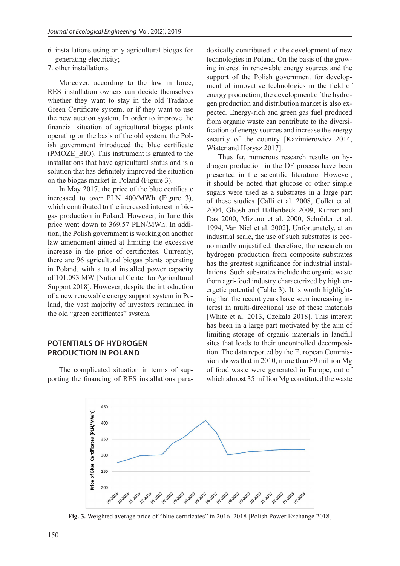- 6. installations using only agricultural biogas for generating electricity;
- 7. other installations.

Moreover, according to the law in force, RES installation owners can decide themselves whether they want to stay in the old Tradable Green Certificate system, or if they want to use the new auction system. In order to improve the financial situation of agricultural biogas plants operating on the basis of the old system, the Polish government introduced the blue certificate (PMOZE\_BIO). This instrument is granted to the installations that have agricultural status and is a solution that has definitely improved the situation on the biogas market in Poland (Figure 3).

In May 2017, the price of the blue certificate increased to over PLN 400/MWh (Figure 3), which contributed to the increased interest in biogas production in Poland. However, in June this price went down to 369.57 PLN/MWh. In addition, the Polish government is working on another law amendment aimed at limiting the excessive increase in the price of certificates. Currently, there are 96 agricultural biogas plants operating in Poland, with a total installed power capacity of 101.093 MW [National Center for Agricultural Support 2018]. However, despite the introduction of a new renewable energy support system in Poland, the vast majority of investors remained in the old "green certificates" system.

# **POTENTIALS OF HYDROGEN PRODUCTION IN POLAND**

The complicated situation in terms of supporting the financing of RES installations paradoxically contributed to the development of new technologies in Poland. On the basis of the growing interest in renewable energy sources and the support of the Polish government for development of innovative technologies in the field of energy production, the development of the hydrogen production and distribution market is also expected. Energy-rich and green gas fuel produced from organic waste can contribute to the diversification of energy sources and increase the energy security of the country [Kazimierowicz 2014, Wiater and Horysz 2017].

Thus far, numerous research results on hydrogen production in the DF process have been presented in the scientific literature. However, it should be noted that glucose or other simple sugars were used as a substrates in a large part of these studies [Calli et al. 2008, Collet et al. 2004, Ghosh and Hallenbeck 2009, Kumar and Das 2000, Mizuno et al. 2000, Schröder et al. 1994, Van Niel et al. 2002]. Unfortunately, at an industrial scale, the use of such substrates is economically unjustified; therefore, the research on hydrogen production from composite substrates has the greatest significance for industrial installations. Such substrates include the organic waste from agri-food industry characterized by high energetic potential (Table 3). It is worth highlighting that the recent years have seen increasing interest in multi-directional use of these materials [White et al. 2013, Czekala 2018]. This interest has been in a large part motivated by the aim of limiting storage of organic materials in landfill sites that leads to their uncontrolled decomposition. The data reported by the European Commission shows that in 2010, more than 89 million Mg of food waste were generated in Europe, out of which almost 35 million Mg constituted the waste



**Fig. 3.** Weighted average price of "blue certificates" in 2016–2018 [Polish Power Exchange 2018]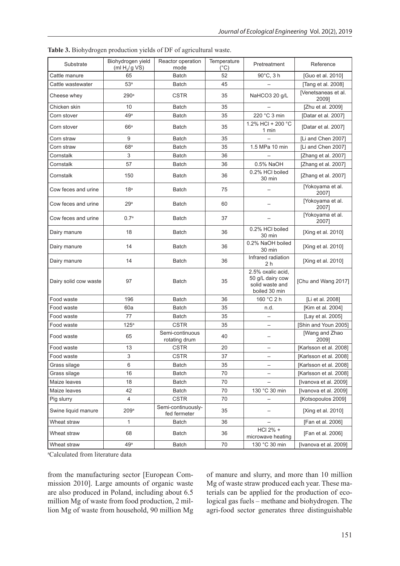| Substrate             | Biohydrogen yield<br>(ml $H2/g VS$ ) | Reactor operation<br>mode          | Temperature<br>(°C) | Pretreatment                                                              | Reference                    |  |
|-----------------------|--------------------------------------|------------------------------------|---------------------|---------------------------------------------------------------------------|------------------------------|--|
| Cattle manure         | 65                                   | Batch                              | 52                  | $90^{\circ}$ C, 3 h                                                       | [Guo et al. 2010]            |  |
| Cattle wastewater     | 53 <sup>a</sup>                      | Batch                              | 45                  |                                                                           | [Tang et al. 2008]           |  |
| Cheese whey           | 290 <sup>a</sup>                     | <b>CSTR</b>                        | 35                  | NaHCO3 20 g/L                                                             | [Venetsaneas et al.<br>2009] |  |
| Chicken skin          | 10                                   | <b>Batch</b>                       | 35                  |                                                                           | [Zhu et al. 2009]            |  |
| Corn stover           | 49a                                  | <b>Batch</b>                       | 35                  | 220 °C 3 min                                                              | [Datar et al. 2007]          |  |
| Corn stover           | 66a                                  | <b>Batch</b>                       | 35                  | 1.2% HCl + 200 °C<br>1 min                                                | [Datar et al. 2007]          |  |
| Corn straw            | 9                                    | <b>Batch</b>                       | 35                  |                                                                           | [Li and Chen 2007]           |  |
| Corn straw            | 68 <sup>a</sup>                      | <b>Batch</b>                       | 35                  | 1.5 MPa 10 min                                                            | [Li and Chen 2007]           |  |
| Cornstalk             | 3                                    | <b>Batch</b>                       | 36                  |                                                                           | [Zhang et al. 2007]          |  |
| Cornstalk             | 57                                   | <b>Batch</b>                       | 36                  | 0.5% NaOH                                                                 | [Zhang et al. 2007]          |  |
| Cornstalk             | 150                                  | <b>Batch</b>                       | 36                  | 0.2% HCI boiled<br>30 min                                                 | [Zhang et al. 2007]          |  |
| Cow feces and urine   | 18 <sup>a</sup>                      | Batch                              | 75                  |                                                                           | [Yokoyama et al.<br>2007]    |  |
| Cow feces and urine   | 29a                                  | Batch                              | 60                  |                                                                           | [Yokoyama et al.<br>20071    |  |
| Cow feces and urine   | 0.7 <sup>a</sup>                     | Batch                              | 37                  |                                                                           | [Yokoyama et al.<br>2007]    |  |
| Dairy manure          | 18                                   | Batch                              | 36                  | 0.2% HCl boiled<br>30 min                                                 | [Xing et al. 2010]           |  |
| Dairy manure          | 14                                   | <b>Batch</b>                       | 36                  | 0.2% NaOH boiled<br>30 min                                                | [Xing et al. 2010]           |  |
| Dairy manure          | 14                                   | Batch                              | 36                  | Infrared radiation<br>2 h                                                 | [Xing et al. 2010]           |  |
| Dairy solid cow waste | 97                                   | <b>Batch</b>                       | 35                  | 2.5% oxalic acid,<br>50 g/L dairy cow<br>solid waste and<br>boiled 30 min | [Chu and Wang 2017]          |  |
| Food waste            | 196                                  | <b>Batch</b>                       | 36                  | 160 °C 2 h                                                                | [Li et al. 2008]             |  |
| Food waste            | 60a                                  | Batch                              | 35                  | n.d.                                                                      | [Kim et al. 2004]            |  |
| Food waste            | 77                                   | <b>Batch</b>                       | 35                  |                                                                           | [Lay et al. 2005]            |  |
| Food waste            | 125 <sup>a</sup>                     | <b>CSTR</b>                        | 35                  |                                                                           | [Shin and Youn 2005]         |  |
| Food waste            | 65                                   | Semi-continuous<br>rotating drum   | 40                  |                                                                           | [Wang and Zhao<br>20091      |  |
| Food waste            | 13                                   | <b>CSTR</b>                        | 20                  | $\overline{\phantom{0}}$                                                  | [Karlsson et al. 2008]       |  |
| Food waste            | 3                                    | <b>CSTR</b>                        | 37                  |                                                                           | [Karlsson et al. 2008]       |  |
| Grass silage          | 6                                    | Batch                              | 35                  | —                                                                         | [Karlsson et al. 2008]       |  |
| Grass silage          | 16                                   | Batch                              | 70                  |                                                                           | [Karlsson et al. 2008]       |  |
| Maize leaves          | 18                                   | Batch                              | 70                  |                                                                           | [Ivanova et al. 2009]        |  |
| Maize leaves          | 42                                   | Batch                              | 70                  | 130 °C 30 min                                                             | [Ivanova et al. 2009]        |  |
| Pig slurry            | 4                                    | <b>CSTR</b>                        | 70                  | $\qquad \qquad -$                                                         | [Kotsopoulos 2009]           |  |
| Swine liquid manure   | 209a                                 | Semi-continuously-<br>fed fermeter | 35                  | [Xing et al. 2010]                                                        |                              |  |
| Wheat straw           | 1                                    | Batch                              | 36                  |                                                                           | [Fan et al. 2006]            |  |
| Wheat straw           | 68                                   | Batch                              | 36                  | HCl 2% +<br>microwave heating                                             | [Fan et al. 2006]            |  |
| Wheat straw           | 49a                                  | Batch                              | 70                  | 130 °C 30 min                                                             | [Ivanova et al. 2009]        |  |

**Table 3.** Biohydrogen production yields of DF of agricultural waste.

a Calculated from literature data

from the manufacturing sector [European Commission 2010]. Large amounts of organic waste are also produced in Poland, including about 6.5 million Mg of waste from food production, 2 million Mg of waste from household, 90 million Mg of manure and slurry, and more than 10 million Mg of waste straw produced each year. These materials can be applied for the production of ecological gas fuels – methane and biohydrogen. The agri-food sector generates three distinguishable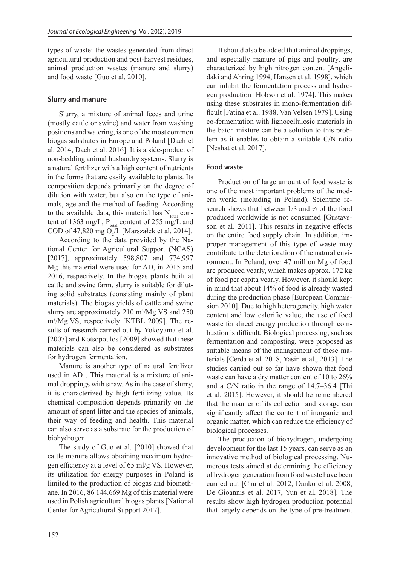types of waste: the wastes generated from direct agricultural production and post-harvest residues, animal production wastes (manure and slurry) and food waste [Guo et al. 2010].

### **Slurry and manure**

Slurry, a mixture of animal feces and urine (mostly cattle or swine) and water from washing positions and watering, is one of the most common biogas substrates in Europe and Poland [Dach et al. 2014, Dach et al. 2016]. It is a side-product of non-bedding animal husbandry systems. Slurry is a natural fertilizer with a high content of nutrients in the forms that are easily available to plants. Its composition depends primarily on the degree of dilution with water, but also on the type of animals, age and the method of feeding. According to the available data, this material has  $N_{total}$  content of 1363 mg/L,  $P_{total}$  content of 255 mg/L and COD of 47,820 mg O<sub>2</sub>/L [Marszałek et al. 2014].

According to the data provided by the National Center for Agricultural Support (NCAS) [2017], approximately 598,807 and 774,997 Mg this material were used for AD, in 2015 and 2016, respectively. In the biogas plants built at cattle and swine farm, slurry is suitable for diluting solid substrates (consisting mainly of plant materials). The biogas yields of cattle and swine slurry are approximately 210 m<sup>3</sup>/Mg VS and 250 m3 /Mg VS, respectively [KTBL 2009]. The results of research carried out by Yokoyama et al. [2007] and Kotsopoulos [2009] showed that these materials can also be considered as substrates for hydrogen fermentation.

Manure is another type of natural fertilizer used in AD . This material is a mixture of animal droppings with straw. As in the case of slurry, it is characterized by high fertilizing value. Its chemical composition depends primarily on the amount of spent litter and the species of animals, their way of feeding and health. This material can also serve as a substrate for the production of biohydrogen.

The study of Guo et al. [2010] showed that cattle manure allows obtaining maximum hydrogen efficiency at a level of 65 ml/g VS. However, its utilization for energy purposes in Poland is limited to the production of biogas and biomethane. In 2016, 86 144.669 Mg of this material were used in Polish agricultural biogas plants [National Center for Agricultural Support 2017].

It should also be added that animal droppings, and especially manure of pigs and poultry, are characterized by high nitrogen content [Angelidaki and Ahring 1994, Hansen et al. 1998], which can inhibit the fermentation process and hydrogen production [Hobson et al. 1974]. This makes using these substrates in mono-fermentation difficult [Fatina et al. 1988, Van Velsen 1979]. Using co-fermentation with lignocellulosic materials in the batch mixture can be a solution to this problem as it enables to obtain a suitable C/N ratio [Neshat et al. 2017].

### **Food waste**

Production of large amount of food waste is one of the most important problems of the modern world (including in Poland). Scientific research shows that between 1/3 and ½ of the food produced worldwide is not consumed [Gustavsson et al. 2011]. This results in negative effects on the entire food supply chain. In addition, improper management of this type of waste may contribute to the deterioration of the natural environment. In Poland, over 47 million Mg of food are produced yearly, which makes approx. 172 kg of food per capita yearly. However, it should kept in mind that about 14% of food is already wasted during the production phase [European Commission 2010]. Due to high heterogeneity, high water content and low calorific value, the use of food waste for direct energy production through combustion is difficult. Biological processing, such as fermentation and composting, were proposed as suitable means of the management of these materials [Cerda et al. 2018, Yasin et al., 2013]. The studies carried out so far have shown that food waste can have a dry matter content of 10 to 26% and a C/N ratio in the range of 14.7–36.4 [Thi et al. 2015]. However, it should be remembered that the manner of its collection and storage can significantly affect the content of inorganic and organic matter, which can reduce the efficiency of biological processes.

The production of biohydrogen, undergoing development for the last 15 years, can serve as an innovative method of biological processing. Numerous tests aimed at determining the efficiency of hydrogen generation from food waste have been carried out [Chu et al. 2012, Danko et al. 2008, De Gioannis et al. 2017, Yun et al. 2018]. The results show high hydrogen production potential that largely depends on the type of pre-treatment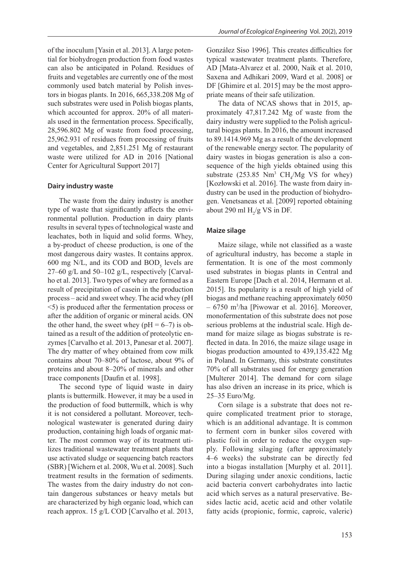of the inoculum [Yasin et al. 2013]. A large potential for biohydrogen production from food wastes can also be anticipated in Poland. Residues of fruits and vegetables are currently one of the most commonly used batch material by Polish investors in biogas plants. In 2016, 665,338.208 Mg of such substrates were used in Polish biogas plants, which accounted for approx. 20% of all materials used in the fermentation process. Specifically, 28,596.802 Mg of waste from food processing, 25,962.931 of residues from processing of fruits and vegetables, and 2,851.251 Mg of restaurant waste were utilized for AD in 2016 [National Center for Agricultural Support 2017]

#### **Dairy industry waste**

The waste from the dairy industry is another type of waste that significantly affects the environmental pollution. Production in dairy plants results in several types of technological waste and leachates, both in liquid and solid forms. Whey, a by-product of cheese production, is one of the most dangerous dairy wastes. It contains approx. 600 mg N/L, and its COD and  $BOD<sub>5</sub>$  levels are 27–60 g/L and 50–102 g/L, respectively [Carvalho et al. 2013]. Two types of whey are formed as a result of precipitation of casein in the production process – acid and sweet whey. The acid whey (pH <5) is produced after the fermentation process or after the addition of organic or mineral acids. ON the other hand, the sweet whey ( $pH = 6-7$ ) is obtained as a result of the addition of proteolytic enzymes [Carvalho et al. 2013, Panesar et al. 2007]. The dry matter of whey obtained from cow milk contains about 70–80% of lactose, about 9% of proteins and about 8–20% of minerals and other trace components [Daufin et al. 1998].

The second type of liquid waste in dairy plants is buttermilk. However, it may be a used in the production of food buttermilk, which is why it is not considered a pollutant. Moreover, technological wastewater is generated during dairy production, containing high loads of organic matter. The most common way of its treatment utilizes traditional wastewater treatment plants that use activated sludge or sequencing batch reactors (SBR) [Wichern et al. 2008, Wu et al. 2008]. Such treatment results in the formation of sediments. The wastes from the dairy industry do not contain dangerous substances or heavy metals but are characterized by high organic load, which can reach approx. 15 g/L COD [Carvalho et al. 2013, González Siso 1996]. This creates difficulties for typical wastewater treatment plants. Therefore, AD [Mata-Alvarez et al. 2000, Naik et al. 2010, Saxena and Adhikari 2009, Ward et al. 2008] or DF [Ghimire et al. 2015] may be the most appropriate means of their safe utilization.

The data of NCAS shows that in 2015, approximately 47,817.242 Mg of waste from the dairy industry were supplied to the Polish agricultural biogas plants. In 2016, the amount increased to 89.1414.969 Mg as a result of the development of the renewable energy sector. The popularity of dairy wastes in biogas generation is also a consequence of the high yields obtained using this substrate (253.85  $Nm^3$  CH<sub>4</sub>/Mg VS for whey) [Kozłowski et al. 2016]. The waste from dairy industry can be used in the production of biohydrogen. Venetsaneas et al. [2009] reported obtaining about 290 ml  $H_2/g$  VS in DF.

#### **Maize silage**

Maize silage, while not classified as a waste of agricultural industry, has become a staple in fermentation. It is one of the most commonly used substrates in biogas plants in Central and Eastern Europe [Dach et al. 2014, Hermann et al. 2015]. Its popularity is a result of high yield of biogas and methane reaching approximately 6050 – 6750 m3 /ha [Piwowar et al. 2016]. Moreover, monofermentation of this substrate does not pose serious problems at the industrial scale. High demand for maize silage as biogas substrate is reflected in data. In 2016, the maize silage usage in biogas production amounted to 439,135.422 Mg in Poland. In Germany, this substrate constitutes 70% of all substrates used for energy generation [Multerer 2014]. The demand for corn silage has also driven an increase in its price, which is 25–35 Euro/Mg.

Corn silage is a substrate that does not require complicated treatment prior to storage, which is an additional advantage. It is common to ferment corn in bunker silos covered with plastic foil in order to reduce the oxygen supply. Following silaging (after approximately 4–6 weeks) the substrate can be directly fed into a biogas installation [Murphy et al. 2011]. During silaging under anoxic conditions, lactic acid bacteria convert carbohydrates into lactic acid which serves as a natural preservative. Besides lactic acid, acetic acid and other volatile fatty acids (propionic, formic, caproic, valeric)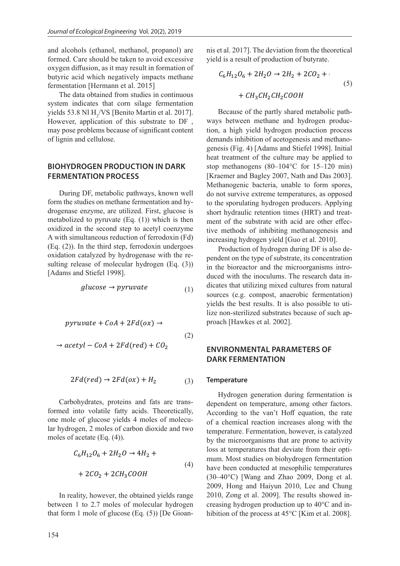and alcohols (ethanol, methanol, propanol) are formed. Care should be taken to avoid excessive oxygen diffusion, as it may result in formation of butyric acid which negatively impacts methane fermentation [Hermann et al. 2015]

The data obtained from studies in continuous system indicates that corn silage fermentation yields 53.8 Nl  $H_2/VS$  [Benito Martin et al. 2017]. However, application of this substrate to DF , may pose problems because of significant content of lignin and cellulose.

# **BIOHYDROGEN PRODUCTION IN DARK FERMENTATION PROCESS**

During DF, metabolic pathways, known well form the studies on methane fermentation and hydrogenase enzyme, are utilized. First, glucose is metabolized to pyruvate (Eq. (1)) which is then oxidized in the second step to acetyl coenzyme A with simultaneous reduction of ferrodoxin (Fd) (Eq. (2)). In the third step, ferrodoxin undergoes oxidation catalyzed by hydrogenase with the resulting release of molecular hydrogen (Eq. (3)) [Adams and Stiefel 1998].

$$
glucose \rightarrow pyruvate
$$
 (1)

$$
pyruvate + CoA + 2Fd(ox) \rightarrow \text{proach [Hawkes et al. 2002]}.
$$
\n
$$
\rightarrow acetyl - CoA + 2Fd(red) + CO_2
$$
\n
$$
\rightarrow \text{ENVIROMENTAL PARA}
$$

$$
2Fd(\text{red}) \to 2Fd(\text{ox}) + H_2 \tag{3}
$$

Carbohydrates, proteins and fats are transformed into volatile fatty acids. Theoretically, one mole of glucose yields 4 moles of molecular hydrogen, 2 moles of carbon dioxide and two moles of acetate (Eq. (4)).

$$
C_6H_{12}O_6 + 2H_2O \to 4H_2 +
$$
  
+ 2CO<sub>2</sub> + 2CH<sub>3</sub>COOH (4)

In reality, however, the obtained yields range between 1 to 2.7 moles of molecular hydrogen that form 1 mole of glucose (Eq. (5)) [De Gioan-

nis et al. 2017]. The deviation from the theoretical yield is a result of production of butyrate.

$$
C_6H_{12}O_6 + 2H_2O \rightarrow 2H_2 + 2CO_2 +
$$
  
+  $CH_3CH_2CH_2COOH$  (5)

Because of the partly shared metabolic pathways between methane and hydrogen production, a high yield hydrogen production process demands inhibition of acetogenesis and methanogenesis (Fig. 4) [Adams and Stiefel 1998]. Initial heat treatment of the culture may be applied to stop methanogens (80–104°C for 15–120 min) [Kraemer and Bagley 2007, Nath and Das 2003]. Methanogenic bacteria, unable to form spores, do not survive extreme temperatures, as opposed to the sporulating hydrogen producers. Applying short hydraulic retention times (HRT) and treatment of the substrate with acid are other effective methods of inhibiting methanogenesis and increasing hydrogen yield [Guo et al. 2010].

Production of hydrogen during DF is also dependent on the type of substrate, its concentration in the bioreactor and the microorganisms introduced with the inoculums. The research data indicates that utilizing mixed cultures from natural sources (e.g. compost, anaerobic fermentation) yields the best results. It is also possible to utilize non-sterilized substrates because of such ap-

## **ENVIRONMENTAL PARAMETERS OF DARK FERMENTATION**

#### **Temperature**

Hydrogen generation during fermentation is dependent on temperature, among other factors. According to the van't Hoff equation, the rate of a chemical reaction increases along with the temperature. Fermentation, however, is catalyzed by the microorganisms that are prone to activity loss at temperatures that deviate from their optimum. Most studies on biohydrogen fermentation have been conducted at mesophilic temperatures (30–40°C) [Wang and Zhao 2009, Dong et al. 2009, Hong and Haiyun 2010, Lee and Chung 2010, Zong et al. 2009]. The results showed increasing hydrogen production up to 40°C and inhibition of the process at 45°C [Kim et al. 2008].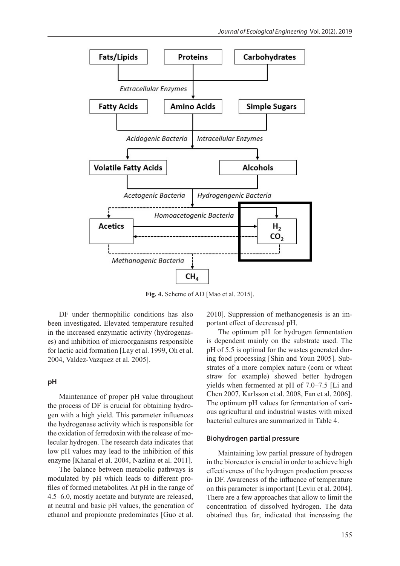

**Fig. 4.** Scheme of AD [Mao et al. 2015].

DF under thermophilic conditions has also been investigated. Elevated temperature resulted in the increased enzymatic activity (hydrogenases) and inhibition of microorganisms responsible for lactic acid formation [Lay et al. 1999, Oh et al. 2004, Valdez-Vazquez et al. 2005].

#### **pH**

Maintenance of proper pH value throughout the process of DF is crucial for obtaining hydrogen with a high yield. This parameter influences the hydrogenase activity which is responsible for the oxidation of ferredoxin with the release of molecular hydrogen. The research data indicates that low pH values may lead to the inhibition of this enzyme [Khanal et al. 2004, Nazlina et al. 2011].

The balance between metabolic pathways is modulated by pH which leads to different profiles of formed metabolites. At pH in the range of 4.5–6.0, mostly acetate and butyrate are released, at neutral and basic pH values, the generation of ethanol and propionate predominates [Guo et al.

2010]. Suppression of methanogenesis is an important effect of decreased pH.

The optimum pH for hydrogen fermentation is dependent mainly on the substrate used. The pH of 5.5 is optimal for the wastes generated during food processing [Shin and Youn 2005]. Substrates of a more complex nature (corn or wheat straw for example) showed better hydrogen yields when fermented at pH of 7.0–7.5 [Li and Chen 2007, Karlsson et al. 2008, Fan et al. 2006]. The optimum pH values for fermentation of various agricultural and industrial wastes with mixed bacterial cultures are summarized in Table 4.

#### **Biohydrogen partial pressure**

Maintaining low partial pressure of hydrogen in the bioreactor is crucial in order to achieve high effectiveness of the hydrogen production process in DF. Awareness of the influence of temperature on this parameter is important [Levin et al. 2004]. There are a few approaches that allow to limit the concentration of dissolved hydrogen. The data obtained thus far, indicated that increasing the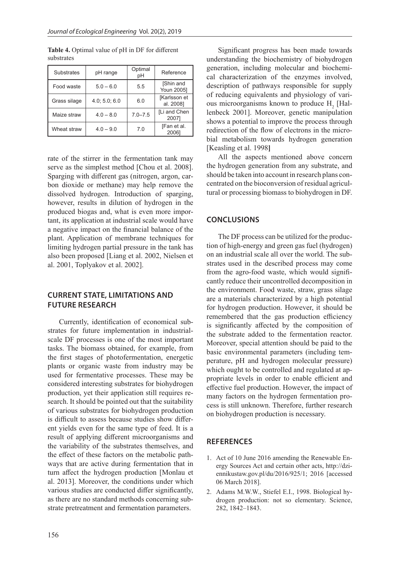| <b>Substrates</b> | pH range      | Optimal<br>рH | Reference                 |  |
|-------------------|---------------|---------------|---------------------------|--|
| Food waste        | $5.0 - 6.0$   | 5.5           | [Shin and<br>Youn 2005]   |  |
| Grass silage      | 4.0; 5.0; 6.0 | 6.0           | [Karlsson et<br>al. 2008] |  |
| Maize straw       | $4.0 - 8.0$   | $7.0 - 7.5$   | [Li and Chen<br>2007]     |  |
| Wheat straw       | $4.0 - 9.0$   | 7.0           | [Fan et al.<br>20061      |  |

**Table 4.** Optimal value of pH in DF for different substrates

rate of the stirrer in the fermentation tank may serve as the simplest method [Chou et al. 2008]. Sparging with different gas (nitrogen, argon, carbon dioxide or methane) may help remove the dissolved hydrogen. Introduction of sparging, however, results in dilution of hydrogen in the produced biogas and, what is even more important, its application at industrial scale would have a negative impact on the financial balance of the plant. Application of membrane techniques for limiting hydrogen partial pressure in the tank has also been proposed [Liang et al. 2002, Nielsen et al. 2001, Toplyakov et al. 2002].

### **CURRENT STATE, LIMITATIONS AND FUTURE RESEARCH**

Currently, identification of economical substrates for future implementation in industrialscale DF processes is one of the most important tasks. The biomass obtained, for example, from the first stages of photofermentation, energetic plants or organic waste from industry may be used for fermentative processes. These may be considered interesting substrates for biohydrogen production, yet their application still requires research. It should be pointed out that the suitability of various substrates for biohydrogen production is difficult to assess because studies show different yields even for the same type of feed. It is a result of applying different microorganisms and the variability of the substrates themselves, and the effect of these factors on the metabolic pathways that are active during fermentation that in turn affect the hydrogen production [Monlau et al. 2013]. Moreover, the conditions under which various studies are conducted differ significantly, as there are no standard methods concerning substrate pretreatment and fermentation parameters.

Significant progress has been made towards understanding the biochemistry of biohydrogen generation, including molecular and biochemical characterization of the enzymes involved, description of pathways responsible for supply of reducing equivalents and physiology of various microorganisms known to produce  $H_2$  [Hallenbeck 2001]. Moreover, genetic manipulation shows a potential to improve the process through redirection of the flow of electrons in the microbial metabolism towards hydrogen generation [Keasling et al. 1998**]**

All the aspects mentioned above concern the hydrogen generation from any substrate, and should be taken into account in research plans concentrated on the bioconversion of residual agricultural or processing biomass to biohydrogen in DF.

### **CONCLUSIONS**

The DF process can be utilized for the production of high-energy and green gas fuel (hydrogen) on an industrial scale all over the world. The substrates used in the described process may come from the agro-food waste, which would significantly reduce their uncontrolled decomposition in the environment. Food waste, straw, grass silage are a materials characterized by a high potential for hydrogen production. However, it should be remembered that the gas production efficiency is significantly affected by the composition of the substrate added to the fermentation reactor. Moreover, special attention should be paid to the basic environmental parameters (including temperature, pH and hydrogen molecular pressure) which ought to be controlled and regulated at appropriate levels in order to enable efficient and effective fuel production. However, the impact of many factors on the hydrogen fermentation process is still unknown. Therefore, further research on biohydrogen production is necessary.

# **REFERENCES**

- 1. Act of 10 June 2016 amending the Renewable Energy Sources Act and certain other acts, http://dziennikustaw.gov.pl/du/2016/925/1; 2016 [accessed 06 March 2018].
- 2. Adams M.W.W., Stiefel E.I., 1998. Biological hydrogen production: not so elementary. Science, 282, 1842–1843.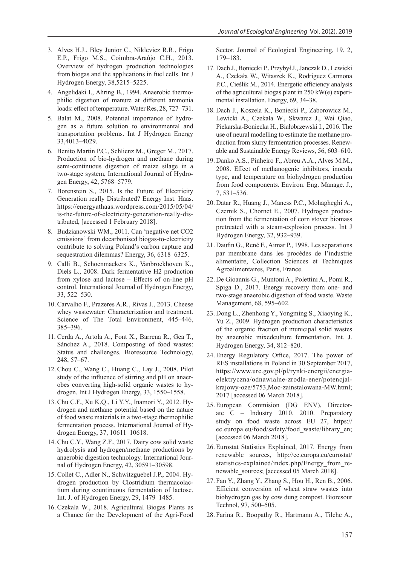- 3. Alves H.J., Bley Junior C., Niklevicz R.R., Frigo E.P., Frigo M.S., Coimbra-Araújo C.H., 2013. Overview of hydrogen production technologies from biogas and the applications in fuel cells. Int J Hydrogen Energy, 38,5215–5225.
- 4. Angelidaki I., Ahring B., 1994. Anaerobic thermophilic digestion of manure at different ammonia loads: effect of temperature. Water Res, 28, 727–731.
- 5. Balat M., 2008. Potential importance of hydrogen as a future solution to environmental and transportation problems. Int J Hydrogen Energy 33,4013–4029.
- 6. Benito Martin P.C., Schlienz M., Greger M., 2017. Production of bio-hydrogen and methane during semi-continuous digestion of maize silage in a two-stage system, International Journal of Hydrogen Energy, 42, 5768–5779.
- 7. Borenstein S., 2015. Is the Future of Electricity Generation really Distributed? Energy Inst. Haas. https://energyathaas.wordpress.com/2015/05/04/ is-the-future-of-electricity-generation-really-distributed, [accessed 1 February 2018].
- 8. Budzianowski WM., 2011. Can 'negative net CO2 emissions' from decarbonised biogas-to-electricity contribute to solving Poland's carbon capture and sequestration dilemmas? Energy, 36, 6318–6325.
- 9. Calli B., Schoenmaekers K., Vanbroekhoven K., Diels L., 2008. Dark fermentative H2 production from xylose and lactose – Effects of on-line pH control. International Journal of Hydrogen Energy, 33, 522–530.
- 10. Carvalho F., Prazeres A.R., Rivas J., 2013. Cheese whey wastewater: Characterization and treatment. Science of The Total Environment, 445–446, 385–396.
- 11. Cerda A., Artola A., Font X., Barrena R., Gea T., Sánchez A., 2018. Composting of food wastes: Status and challenges. Bioresource Technology, 248, 57–67.
- 12. Chou C., Wang C., Huang C., Lay J., 2008. Pilot study of the influence of stirring and pH on anaerobes converting high-solid organic wastes to hydrogen. Int J Hydrogen Energy, 33, 1550–1558.
- 13. Chu C.F., Xu K.Q., Li Y.Y., Inamori Y., 2012. Hydrogen and methane potential based on the nature of food waste materials in a two-stage thermophilic fermentation process. International Journal of Hydrogen Energy, 37, 10611–10618.
- 14. Chu C.Y., Wang Z.F., 2017. Dairy cow solid waste hydrolysis and hydrogen/methane productions by anaerobic digestion technology. International Journal of Hydrogen Energy, 42, 30591–30598.
- 15. Collet C., Adler N., Schwitzguebel J.P., 2004. Hydrogen production by Clostridium thermacolactium during countinuous fermentation of lactose. Int. J. of Hydrogen Energy, 29, 1479–1485.
- 16. Czekala W., 2018. Agricultural Biogas Plants as a Chance for the Development of the Agri-Food

Sector. Journal of Ecological Engineering, 19, 2, 179–183.

- 17. Dach J., Boniecki P., Przybył J., Janczak D., Lewicki A., Czekała W., Witaszek K., Rodriguez Carmona P.C., Cieślik M., 2014. Energetic efficiency analysis of the agricultural biogas plant in 250 kW(e) experimental installation. Energy, 69, 34–38.
- 18. Dach J., Koszela K., Boniecki P., Zaborowicz M., Lewicki A., Czekała W., Skwarcz J., Wei Qiao, Piekarska-Boniecka H., Białobrzewski I., 2016. The use of neural modelling to estimate the methane production from slurry fermentation processes. Renewable and Sustainable Energy Reviews, 56, 603–610.
- 19. Danko A.S., Pinheiro F., Abreu A.A., Alves M.M., 2008. Effect of methanogenic inhibitors, inocula type, and temperature on biohydrogen production from food components. Environ. Eng. Manage. J., 7, 531–536.
- 20. Datar R., Huang J., Maness P.C., Mohagheghi A., Czernik S., Chornet E., 2007. Hydrogen production from the fermentation of corn stover biomass pretreated with a steam-explosion process. Int J Hydrogen Energy, 32, 932–939.
- 21. Daufin G., René F., Aimar P., 1998. Les separations par membrane dans les procédés de l'industrie alimentaire, Collection Sciences et Techniques Agroalimentaires, Paris, France.
- 22. De Gioannis G., Muntoni A., Polettini A., Pomi R., Spiga D., 2017. Energy recovery from one- and two-stage anaerobic digestion of food waste. Waste Management, 68, 595–602.
- 23. Dong L., Zhenhong Y., Yongming S., Xiaoying K., Yu Z., 2009. Hydrogen production characteristics of the organic fraction of municipal solid wastes by anaerobic mixedculture fermentation. Int. J. Hydrogen Energy, 34, 812–820.
- 24. Energy Regulatory Office, 2017. The power of RES installations in Poland in 30 September 2017, https://www.ure.gov.pl/pl/rynki-energii/energiaelektryczna/odnawialne-zrodla-ener/potencjalkrajowy-oze/5753,Moc-zainstalowana-MW.html; 2017 [accessed 06 March 2018].
- 25. European Commision (DG ENV), Directorate C – Industry 2010. 2010. Preparatory study on food waste across EU 27, https:// ec.europa.eu/food/safety/food\_waste/library\_en; [accessed 06 March 2018].
- 26. Eurostat Statistics Explained, 2017. Energy from renewable sources, http://ec.europa.eu/eurostat/ statistics-explained/index.php/Energy\_from\_renewable\_sources; [accessed 05 March 2018].
- 27. Fan Y., Zhang Y., Zhang S., Hou H., Ren B., 2006. Efficient conversion of wheat straw wastes into biohydrogen gas by cow dung compost. Bioresour Technol, 97, 500–505.
- 28. Farina R., Boopathy R., Hartmann A., Tilche A.,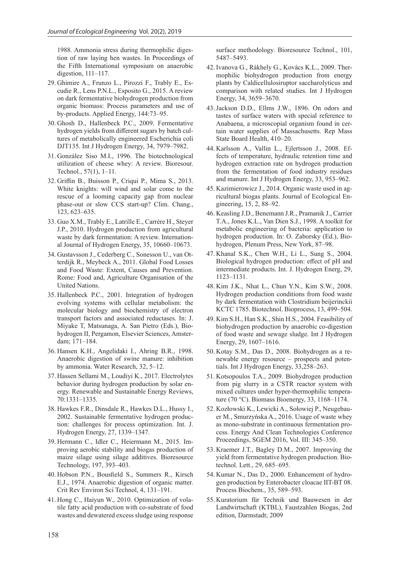1988. Ammonia stress during thermophilic digestion of raw laying hen wastes. In Proceedings of the Fifth International symposium on anaerobic digestion, 111–117.

- 29. Ghimire A., Frunzo L., Pirozzi F., Trably E., Escudie R., Lens P.N.L., Esposito G., 2015. A review on dark fermentative biohydrogen production from organic biomass: Process parameters and use of by-products. Applied Energy, 144:73–95.
- 30. Ghosh D., Hallenbeck P.C., 2009. Fermentative hydrogen yields from different sugars by batch cultures of metabolically engineered Escherichia coli DJT135. Int J Hydrogen Energy, 34, 7979–7982.
- 31. González Siso M.I., 1996. The biotechnological utilization of cheese whey: A review. Bioresour. Technol., 57(1), 1–11.
- 32. Griffin B., Buisson P., Criqui P., Mima S., 2013. White knights: will wind and solar come to the rescue of a looming capacity gap from nuclear phase-out or slow CCS start-up? Clim. Chang., 123, 623–635.
- 33. Guo X.M., Trably E., Latrille E., Carrère H., Steyer J.P., 2010. Hydrogen production from agricultural waste by dark fermentation: A review. International Journal of Hydrogen Energy, 35, 10660–10673.
- 34. Gustavsson J., Cederberg C., Sonesson U., van Otterdijk R., Meybeck A., 2011. Global Food Losses and Food Waste: Extent, Causes and Prevention. Rome: Food and, Agriculture Organisation of the United Nations.
- 35. Hallenbeck P.C., 2001. Integration of hydrogen evolving systems with cellular metabolism: the molecular biology and biochemistry of electron transport factors and associated reductases. In: J. Miyake T, Matsunaga, A. San Pietro (Eds.), Biohydrogen II, Pergamon, Elsevier Sciences, Amsterdam; 171–184.
- 36. Hansen K.H., Angelidaki I., Ahring B.R., 1998. Anaerobic digestion of swine manure: inhibition by ammonia. Water Research, 32, 5–12.
- 37. Hassen Sellami M., Loudiyi K., 2017. Electrolytes behavior during hydrogen production by solar energy. Renewable and Sustainable Energy Reviews, 70:1331–1335.
- 38. Hawkes F.R., Dinsdale R., Hawkes D.L., Hussy I., 2002. Sustainable fermentative hydrogen production: challenges for process optimization. Int. J. Hydrogen Energy, 27, 1339–1347.
- 39. Hermann C., Idler C., Heiermann M., 2015. Improving aerobic stability and biogas production of maize silage using silage additives. Bioresource Technology, 197, 393–403.
- 40. Hobson P.N., Bousfield S., Summers R., Kirsch E.J., 1974. Anaerobic digestion of organic matter. Crit Rev Environ Sci Technol, 4, 131–191.
- 41. Hong C., Haiyun W., 2010. Optimization of volatile fatty acid production with co-substrate of food wastes and dewatered excess sludge using response

surface methodology. Bioresource Technol., 101, 5487–5493.

- 42. Ivanova G., Rákhely G., Kovács K.L., 2009. Thermophilic biohydrogen production from energy plants by Caldicellulosiruptor saccharolyticus and comparison with related studies. Int J Hydrogen Energy, 34, 3659–3670.
- 43.Jackson D.D., Ellms J.W., 1896. On odors and tastes of surface waters with special reference to Anabaena, a microscopial organism found in certain water supplies of Massachusetts. Rep Mass State Board Health, 410–20.
- 44. Karlsson A., Vallin L., Ejlertsson J., 2008. Effects of temperature, hydraulic retention time and hydrogen extraction rate on hydrogen production from the fermentation of food industry residues and manure. Int J Hydrogen Energy, 33, 953–962.
- 45. Kazimierowicz J., 2014. Organic waste used in agricultural biogas plants. Journal of Ecological Engineering, 15, 2, 88–92.
- 46. Keasling J.D., Benemann J.R., Pramanik J., Carrier T.A., Jones K.L., Van Dien S.J., 1998. A toolkit for metabolic engineering of bacteria: application to hydrogen production. In: O. Zaborsky (Ed.), Biohydrogen, Plenum Press, New York, 87–98.
- 47. Khanal S.K., Chen W.H., Li L., Sung S., 2004. Biological hydrogen production: effect of pH and intermediate products. Int. J. Hydrogen Energ, 29, 1123–1131.
- 48. Kim J.K., Nhat L., Chun Y.N., Kim S.W., 2008. Hydrogen production conditions from food waste by dark fermentation with Clostridium beijerinckii KCTC 1785. Biotechnol. Bioprocess, 13, 499–504.
- 49. Kim S.H., Han S.K., Shin H.S., 2004. Feasibility of biohydrogen production by anaerobic co-digestion of food waste and sewage sludge. Int J Hydrogen Energy, 29, 1607–1616.
- 50. Kotay S.M., Das D., 2008. Biohydrogen as a renewable energy resource – prospects and potentials. Int J Hydrogen Energy, 33,258–263.
- 51. Kotsopoulos T.A., 2009. Biohydrogen production from pig slurry in a CSTR reactor system with mixed cultures under hyper-thermophilic temperature (70 °C). Biomass Bioenergy, 33, 1168–1174.
- 52. Kozłowski K., Lewicki A., Sołowiej P., Neugebauer M., Smurzyńska A., 2016. Usage of waste whey as mono-substrate in continuous fermentation process. Energy And Clean Technologies Conference Proceedings, SGEM 2016, Vol. III: 345–350.
- 53. Kraemer J.T., Bagley D.M., 2007. Improving the yield from fermentative hydrogen production. Biotechnol. Lett., 29, 685–695.
- 54. Kumar N., Das D., 2000. Enhancement of hydrogen production by Enterobacter cloacae IIT-BT 08. Process Biochem., 35, 589–593.
- 55. Kuratorium für Technik und Bauwesen in der Landwirtschaft (KTBL), Faustzahlen Biogas, 2nd edition, Darmstadt; 2009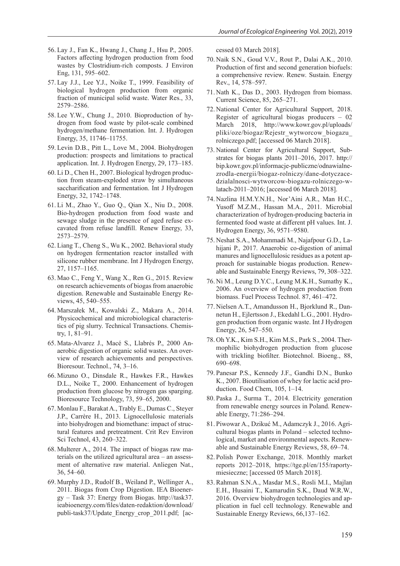- 56. Lay J., Fan K., Hwang J., Chang J., Hsu P., 2005. Factors affecting hydrogen production from food wastes by Clostridium-rich composts. J Environ Eng, 131, 595–602.
- 57. Lay J.J., Lee Y.J., Noike T., 1999. Feasibility of biological hydrogen production from organic fraction of municipal solid waste. Water Res., 33, 2579–2586.
- 58. Lee Y.W., Chung J., 2010. Bioproduction of hydrogen from food waste by pilot-scale combined hydrogen/methane fermentation. Int. J. Hydrogen Energy, 35, 11746–11755.
- 59. Levin D.B., Pitt L., Love M., 2004. Biohydrogen production: prospects and limitations to practical application. Int. J. Hydrogen Energy, 29, 173–185.
- 60. Li D., Chen H., 2007. Biological hydrogen production from steam-exploded straw by simultaneous saccharification and fermentation. Int J Hydrogen Energy, 32, 1742–1748.
- 61. Li M., Zhao Y., Guo Q., Qian X., Niu D., 2008. Bio-hydrogen production from food waste and sewage sludge in the presence of aged refuse excavated from refuse landfill. Renew Energy, 33, 2573–2579.
- 62. Liang T., Cheng S., Wu K., 2002. Behavioral study on hydrogen fermentation reactor installed with silicone rubber membrane. Int J Hydrogen Energy, 27, 1157–1165.
- 63. Mao C., Feng Y., Wang X., Ren G., 2015. Review on research achievements of biogas from anaerobic digestion. Renewable and Sustainable Energy Reviews, 45, 540–555.
- 64. Marszałek M., Kowalski Z., Makara A., 2014. Physicochemical and microbiological characteristics of pig slurry. Technical Transactions. Chemistry, 1, 81–91.
- 65. Mata-Alvarez J., Macé S., Llabrés P., 2000 Anaerobic digestion of organic solid wastes. An overview of research achievements and perspectives. Bioresour. Technol., 74, 3–16.
- 66. Mizuno O., Dinsdale R., Hawkes F.R., Hawkes D.L., Noike T., 2000. Enhancement of hydrogen production from glucose by nitrogen gas sparging. Bioresource Technology, 73, 59–65, 2000.
- 67. Monlau F., Barakat A., Trably E., Dumas C., Steyer J.P., Carrère H., 2013. Lignocellulosic materials into biohydrogen and biomethane: impact of structural features and pretreatment. Crit Rev Environ Sci Technol, 43, 260–322.
- 68. Multerer A., 2014. The impact of biogas raw materials on the utilized agricultural area – an assessment of alternative raw material. Anliegen Nat., 36, 54–60.
- 69. Murphy J.D., Rudolf B., Weiland P., Wellinger A., 2011. Biogas from Crop Digestion. IEA Bioenergy – Task 37: Energy from Biogas. http://task37. ieabioenergy.com/files/daten-redaktion/download/ publi-task37/Update\_Energy\_crop\_2011.pdf; [ac-

cessed 03 March 2018].

- 70. Naik S.N., Goud V.V., Rout P., Dalai A.K., 2010. Production of first and second generation biofuels: a comprehensive review. Renew. Sustain. Energy Rev., 14, 578–597.
- 71. Nath K., Das D., 2003. Hydrogen from biomass. Current Science, 85, 265–271.
- 72. National Center for Agricultural Support, 2018. Register of agricultural biogas producers – 02 March 2018, http://www.kowr.gov.pl/uploads/ pliki/oze/biogaz/Rejestr\_wytworcow\_biogazu\_ rolniczego.pdf; [accessed 06 March 2018].
- 73. National Center for Agricultural Support, Substrates for biogas plants 2011–2016, 2017. http:// bip.kowr.gov.pl/informacje-publiczne/odnawialnezrodla-energii/biogaz-rolniczy/dane-dotyczacedzialalnosci-wytworcow-biogazu-rolniczego-wlatach-2011–2016; [accessed 06 March 2018].
- 74. Nazlina H.M.Y.N.H., Nor'Aini A.R., Man H.C., Yusoff M.Z.M., Hassan M.A., 2011. Microbial characterization of hydrogen-producing bacteria in fermented food waste at different pH values. Int. J. Hydrogen Energy, 36, 9571–9580.
- 75. Neshat S.A., Mohammadi M., Najafpour G.D., Lahijani P., 2017. Anaerobic co-digestion of animal manures and lignocellulosic residues as a potent approach for sustainable biogas production. Renewable and Sustainable Energy Reviews, 79, 308–322.
- 76. Ni M., Leung D.Y.C., Leung M.K.H., Sumathy K., 2006. An overview of hydrogen production from biomass. Fuel Process Technol. 87, 461–472.
- 77. Nielsen A.T., Amandusson H., Bjorklund R., Dannetun H., Ejlertsson J., Ekedahl L.G., 2001. Hydrogen production from organic waste. Int J Hydrogen Energy, 26, 547–550.
- 78. Oh Y.K., Kim S.H., Kim M.S., Park S., 2004. Thermophilic biohydrogen production from glucose with trickling biofilter. Biotechnol. Bioeng., 88, 690–698.
- 79. Panesar P.S., Kennedy J.F., Gandhi D.N., Bunko K., 2007. Bioutilisation of whey for lactic acid production. Food Chem, 105, 1–14.
- 80. Paska J., Surma T., 2014. Electricity generation from renewable energy sources in Poland. Renewable Energy, 71:286–294.
- 81. Piwowar A., Dzikuć M., Adamczyk J., 2016. Agricultural biogas plants in Poland – selected technological, market and environmental aspects. Renewable and Sustainable Energy Reviews, 58, 69–74.
- 82. Polish Power Exchange, 2018. Monthly market reports 2012–2018, https://tge.pl/en/155/raportymiesieczne; [accessed 05 March 2018].
- 83. Rahman S.N.A., Masdar M.S., Rosli M.I., Majlan E.H., Husaini T., Kamarudin S.K., Daud W.R.W., 2016. Overview biohydrogen technologies and application in fuel cell technology. Renewable and Sustainable Energy Reviews, 66,137–162.